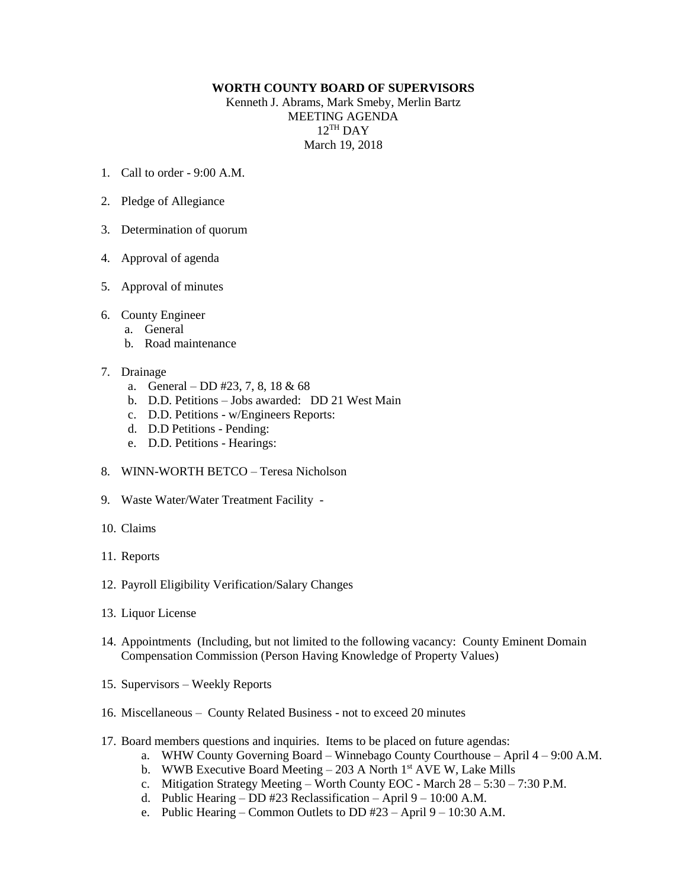## **WORTH COUNTY BOARD OF SUPERVISORS**

Kenneth J. Abrams, Mark Smeby, Merlin Bartz MEETING AGENDA 12 TH DAY March 19, 2018

- 1. Call to order 9:00 A.M.
- 2. Pledge of Allegiance
- 3. Determination of quorum
- 4. Approval of agenda
- 5. Approval of minutes
- 6. County Engineer
	- a. General
	- b. Road maintenance
- 7. Drainage
	- a. General DD #23, 7, 8, 18 & 68
	- b. D.D. Petitions Jobs awarded: DD 21 West Main
	- c. D.D. Petitions w/Engineers Reports:
	- d. D.D Petitions Pending:
	- e. D.D. Petitions Hearings:
- 8. WINN-WORTH BETCO Teresa Nicholson
- 9. Waste Water/Water Treatment Facility -
- 10. Claims
- 11. Reports
- 12. Payroll Eligibility Verification/Salary Changes
- 13. Liquor License
- 14. Appointments (Including, but not limited to the following vacancy: County Eminent Domain Compensation Commission (Person Having Knowledge of Property Values)
- 15. Supervisors Weekly Reports
- 16. Miscellaneous County Related Business not to exceed 20 minutes
- 17. Board members questions and inquiries. Items to be placed on future agendas:
	- a. WHW County Governing Board Winnebago County Courthouse April 4 9:00 A.M.
	- b. WWB Executive Board Meeting  $-203$  A North 1<sup>st</sup> AVE W, Lake Mills
	- c. Mitigation Strategy Meeting Worth County EOC March 28 5:30 7:30 P.M.
	- d. Public Hearing DD #23 Reclassification April 9 10:00 A.M.
	- e. Public Hearing Common Outlets to DD #23 April 9 10:30 A.M.